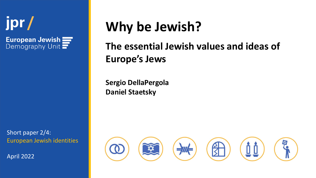

European Jewish = Demography Unit  $\blacksquare$ 

Short paper 2/4: European Jewish identities

April 2022

# **Why be Jewish?**

## **The essential Jewish values and ideas of Europe's Jews**

**Sergio DellaPergola Daniel Staetsky**

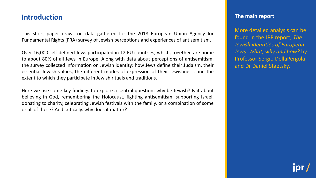#### **Introduction**

This short paper draws on data gathered for the 2018 European Union Agency for Fundamental Rights (FRA) survey of Jewish perceptions and experiences of antisemitism.

Over 16,000 self-defined Jews participated in 12 EU countries, which, together, are home to about 80% of all Jews in Europe. Along with data about perceptions of antisemitism, the survey collected information on Jewish identity: how Jews define their Judaism, their essential Jewish values, the different modes of expression of their Jewishness, and the extent to which they participate in Jewish rituals and traditions.

Here we use some key findings to explore a central question: why be Jewish? Is it about believing in God, remembering the Holocaust, fighting antisemitism, supporting Israel, donating to charity, celebrating Jewish festivals with the family, or a combination of some or all of these? And critically, why does it matter?

#### **The main report**

More detailed analysis can be found in the JPR report, *The Jewish identities of European Jews: What, why and how?* by Professor Sergio DellaPergola and Dr Daniel Staetsky.

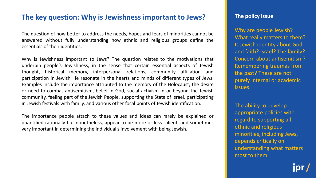## **The key question: Why is Jewishness important to Jews?**

The question of how better to address the needs, hopes and fears of minorities cannot be answered without fully understanding how ethnic and religious groups define the essentials of their identities.

Why is Jewishness important to Jews? The question relates to the motivations that underpin people's Jewishness, in the sense that certain essential aspects of Jewish thought, historical memory, interpersonal relations, community affiliation and participation in Jewish life resonate in the hearts and minds of different types of Jews. Examples include the importance attributed to the memory of the Holocaust, the desire or need to combat antisemitism, belief in God, social activism in or beyond the Jewish community, feeling part of the Jewish People, supporting the State of Israel, participating in Jewish festivals with family, and various other focal points of Jewish identification.

The importance people attach to these values and ideas can rarely be explained or quantified rationally but nonetheless, appear to be more or less salient, and sometimes very important in determining the individual's involvement with being Jewish.

#### **The policy issue**

Why are people Jewish? What really matters to them? Is Jewish identity about God and faith? Israel? The family? Concern about antisemitism? Remembering traumas from the past? These are not purely internal or academic issues.

The ability to develop appropriate policies with regard to supporting all ethnic and religious minorities, including Jews, depends critically on understanding what matters most to them.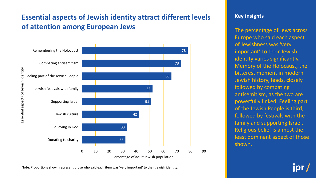## **Essential aspects of Jewish identity attract different levels of attention among European Jews**



#### **Key insights**

The percentage of Jews across Europe who said each aspect of Jewishness was 'very important' to their Jewish identity varies significantly. Memory of the Holocaust, the bitterest moment in modern Jewish history, leads, closely followed by combating antisemitism, as the two are powerfully linked. Feeling part of the Jewish People is third, followed by festivals with the family and supporting Israel. Religious belief is almost the least dominant aspect of those shown.

Note: Proportions shown represent those who said each item was 'very important' to their Jewish identity.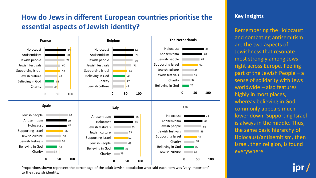## **How do Jews in different European countries prioritise the essential aspects of Jewish identity?**



Proportions shown represent the percentage of the adult Jewish population who said each item was 'very important' to their Jewish identity.

#### **Key insights**

Remembering the Holocaust and combating antisemitism are the two aspects of Jewishness that resonate most strongly among Jews right across Europe. Feeling part of the Jewish People – a sense of solidarity with Jews worldwide – also features highly in most places, whereas believing in God commonly appears much lower down. Supporting Israel is always in the middle. Thus, the same basic hierarchy of Holocaust/antisemitism, then Israel, then religion, is found everywhere.

ipr.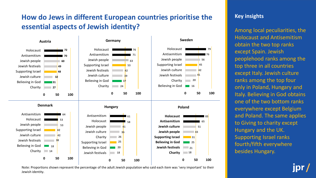## **How do Jews in different European countries prioritise the essential aspects of Jewish identity?**



Note: Proportions shown represent the percentage of the adult Jewish population who said each item was 'very important' to their Jewish identity.

#### **Key insights**

Among local peculiarities, the Holocaust and Antisemitism obtain the two top ranks except Spain. Jewish peoplehood ranks among the top three in all countries except Italy. Jewish culture ranks among the top four only in Poland, Hungary and Italy. Believing in God obtains one of the two bottom ranks everywhere except Belgium and Poland. The same applies to Giving to charity except Hungary and the UK. Supporting Israel ranks fourth/fifth everywhere besides Hungary.

ipr.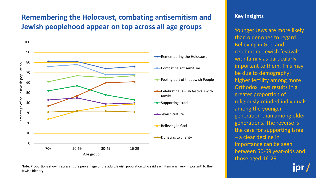## **Remembering the Holocaust, combating antisemitism and Jewish peoplehood appear on top across all age groups**



#### Note: Proportions shown represent the percentage of the adult Jewish population who said each item was 'very important' to their Jewish identity.

#### **Key insights**

Younger Jews are more likely than older ones to regard Believing in God and celebrating Jewish festivals with family as particularly important to them. This may be due to demography: higher fertility among more Orthodox Jews results in a greater proportion of religiously-minded individuals among the younger generation than among older generations. The reverse is the case for supporting Israel – a clear decline in importance can be seen between 50-69 year-olds and those aged 16-29.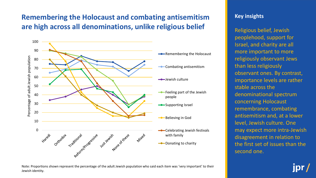## **Remembering the Holocaust and combating antisemitism are high across all denominations, unlike religious belief**



#### **Key insights**

Religious belief, Jewish peoplehood, support for Israel, and charity are all more important to more religiously observant Jews than less religiously observant ones. By contrast, importance levels are rather stable across the denominational spectrum concerning Holocaust remembrance, combating antisemitism and, at a lower level, Jewish culture. One may expect more intra-Jewish disagreement in relation to the first set of issues than the second one.

Note: Proportions shown represent the percentage of the adult Jewish population who said each item was 'very important' to their Jewish identity.

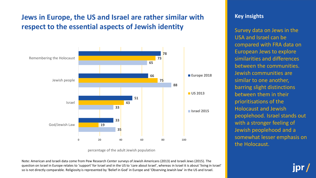## **Jews in Europe, the US and Israel are rather similar with respect to the essential aspects of Jewish identity**



percentage of the adult Jewish population

Note: American and Israeli data come from Pew Research Center surveys of Jewish Americans (2013) and Israeli Jews (2015). The question on Israel in Europe relates to 'support' for Israel and in the US to 'care about Israel', whereas in Israel it is about 'living in Israel' so is not directly comparable. Religiosity is represented by 'Belief in God' in Europe and 'Observing Jewish law' in the US and Israel.

#### **Key insights**

Survey data on Jews in the USA and Israel can be compared with FRA data on European Jews to explore similarities and differences between the communities. Jewish communities are similar to one another, barring slight distinctions between them in their prioritisations of the Holocaust and Jewish peoplehood. Israel stands out with a stronger feeling of Jewish peoplehood and a somewhat lesser emphasis on the Holocaust.

**IDr**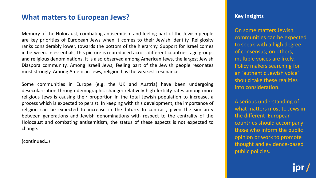## **What matters to European Jews? Consumers and Service Consumersion of the UKEY insights**

Memory of the Holocaust, combating antisemitism and feeling part of the Jewish people are key priorities of European Jews when it comes to their Jewish identity. Religiosity ranks considerably lower, towards the bottom of the hierarchy. Support for Israel comes in between. In essentials, this picture is reproduced across different countries, age groups and religious denominations. It is also observed among American Jews, the largest Jewish Diaspora community. Among Israeli Jews, feeling part of the Jewish people resonates most strongly. Among American Jews, religion has the weakest resonance.

Some communities in Europe (e.g. the UK and Austria) have been undergoing desecularisation through demographic change: relatively high fertility rates among more religious Jews is causing their proportion in the total Jewish population to increase, a process which is expected to persist. In keeping with this development, the importance of religion can be expected to increase in the future. In contrast, given the similarity between generations and Jewish denominations with respect to the centrality of the Holocaust and combating antisemitism, the status of these aspects is not expected to change.

(continued…)

On some matters Jewish communities can be expected to speak with a high degree of consensus; on others, multiple voices are likely. Policy makers searching for an 'authentic Jewish voice' should take these realities into consideration.

A serious understanding of what matters most to Jews in the different European countries should accompany those who inform the public opinion or work to promote thought and evidence-based public policies.

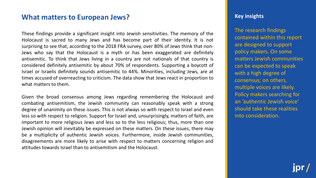## **What matters to European Jews? Consumers and Service Consumersion of the UKEY insights**

These findings provide a significant insight into Jewish sensitivities. The memory of the Holocaust is sacred to many Jews and has become part of their identity. It is not surprising to see that, according to the 2018 FRA survey, over 80% of Jews think that non-Jews who say that the Holocaust is a myth or has been exaggerated are definitely antisemitic. To think that Jews living in a country are not nationals of that country is considered definitely antisemitic by about 70% of respondents. Supporting a boycott of Israel or Israelis definitely sounds antisemitic to 44%. Minorities, including Jews, are at times accused of overreacting to criticism. The data show that Jews react in proportion to what matters to them.

Given the broad consensus among Jews regarding remembering the Holocaust and combating antisemitism, the Jewish community can reasonably speak with a strong degree of unanimity on these issues. This is not always so with respect to Israel and even less so with respect to religion. Support for Israel and, unsurprisingly, matters of faith, are important to more religious Jews and less so to the less religious; thus, more than one Jewish opinion will inevitably be expressed on these matters. On these issues, there may be a multiplicity of authentic Jewish voices. Furthermore, inside Jewish communities, disagreements are more likely to arise with respect to matters concerning religion and attitudes towards Israel than to antisemitism and the Holocaust.

The research findings contained within this report are designed to support policy makers. On some matters Jewish communities can be expected to speak with a high degree of consensus; on others, multiple voices are likely. Policy makers searching for an 'authentic Jewish voice' should take these realities into consideration.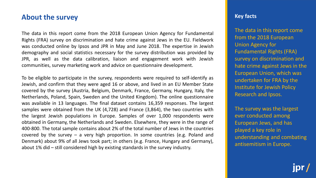## **About the survey and the survey of the survey of the survey of the survey of the survey of the survey of the survey of the survey of the survey of the survey of the survey of the survey of the survey of the survey of the**

The data in this report come from the 2018 European Union Agency for Fundamental Rights (FRA) survey on discrimination and hate crime against Jews in the EU. Fieldwork was conducted online by Ipsos and JPR in May and June 2018. The expertise in Jewish demography and social statistics necessary for the survey distribution was provided by JPR, as well as the data calibration, liaison and engagement work with Jewish communities, survey marketing work and advice on questionnaire development.

To be eligible to participate in the survey, respondents were required to self-identify as Jewish, and confirm that they were aged 16 or above, and lived in an EU Member State covered by the survey (Austria, Belgium, Denmark, France, Germany, Hungary, Italy, the Netherlands, Poland, Spain, Sweden and the United Kingdom). The online questionnaire was available in 13 languages. The final dataset contains 16,359 responses. The largest samples were obtained from the UK (4,728) and France (3,864), the two countries with the largest Jewish populations in Europe. Samples of over 1,000 respondents were obtained in Germany, the Netherlands and Sweden. Elsewhere, they were in the range of 400-800. The total sample contains about 2% of the total number of Jews in the countries covered by the survey – a very high proportion. In some countries (e.g. Poland and Denmark) about 9% of all Jews took part; in others (e.g. France, Hungary and Germany), about 1% did – still considered high by existing standards in the survey industry.

The data in this report come from the 2018 European Union Agency for Fundamental Rights (FRA) survey on discrimination and hate crime against Jews in the European Union, which was undertaken for FRA by the Institute for Jewish Policy Research and Ipsos.

The survey was the largest ever conducted among European Jews, and has played a key role in understanding and combating antisemitism in Europe.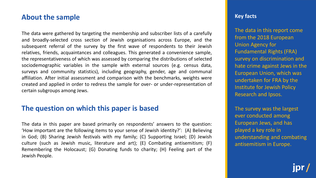#### **About the sample**

The data were gathered by targeting the membership and subscriber lists of a carefully and broadly-selected cross section of Jewish organisations across Europe, and the subsequent referral of the survey by the first wave of respondents to their Jewish relatives, friends, acquaintances and colleagues. This generated a convenience sample, the representativeness of which was assessed by comparing the distributions of selected sociodemographic variables in the sample with external sources (e.g. census data, surveys and community statistics), including geography, gender, age and communal affiliation. After initial assessment and comparison with the benchmarks, weights were created and applied in order to redress the sample for over- or under-representation of certain subgroups among Jews.

## **The question on which this paper is based**

The data in this paper are based primarily on respondents' answers to the question: 'How important are the following items to your sense of Jewish identity?': (A) Believing in God; (B) Sharing Jewish festivals with my family; (C) Supporting Israel; (D) Jewish culture (such as Jewish music, literature and art); (E) Combating antisemitism; (F) Remembering the Holocaust; (G) Donating funds to charity; (H) Feeling part of the Jewish People.

#### **Key facts**

The data in this report come from the 2018 European Union Agency for Fundamental Rights (FRA) survey on discrimination and hate crime against Jews in the European Union, which was undertaken for FRA by the Institute for Jewish Policy Research and Ipsos.

The survey was the largest ever conducted among European Jews, and has played a key role in understanding and combating antisemitism in Europe.